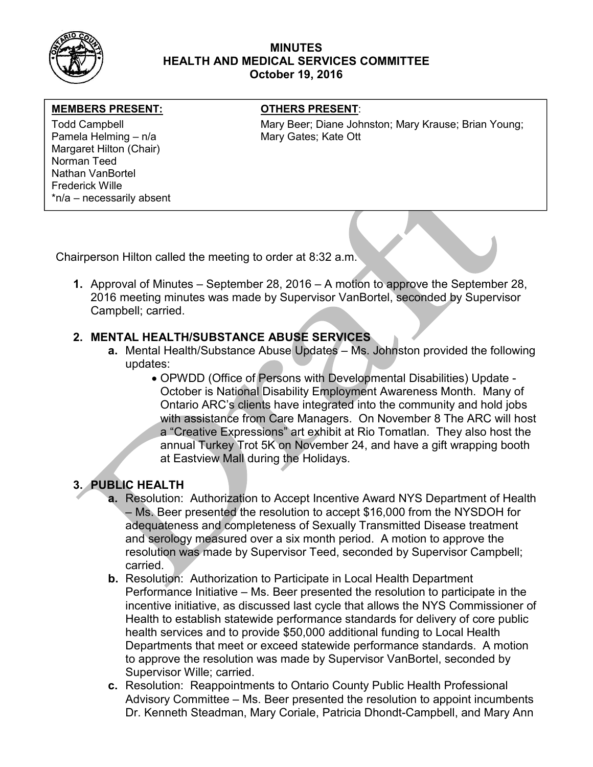

## MINUTES HEALTH AND MEDICAL SERVICES COMMITTEE October 19, 2016

### MEMBERS PRESENT: **The OTHERS PRESENT:**

Pamela Helming – n/a Mary Gates; Kate Ott Margaret Hilton (Chair) Norman Teed Nathan VanBortel Frederick Wille \*n/a – necessarily absent

Todd Campbell **Mary Beer; Diane Johnston; Mary Krause**; Brian Young; Mary Krause; Brian Young;

Chairperson Hilton called the meeting to order at 8:32 a.m.

1. Approval of Minutes – September 28, 2016 – A motion to approve the September 28, 2016 meeting minutes was made by Supervisor VanBortel, seconded by Supervisor Campbell; carried.

## 2. MENTAL HEALTH/SUBSTANCE ABUSE SERVICES

- a. Mental Health/Substance Abuse Updates Ms. Johnston provided the following updates:
	- OPWDD (Office of Persons with Developmental Disabilities) Update October is National Disability Employment Awareness Month. Many of Ontario ARC's clients have integrated into the community and hold jobs with assistance from Care Managers. On November 8 The ARC will host a "Creative Expressions" art exhibit at Rio Tomatlan. They also host the annual Turkey Trot 5K on November 24, and have a gift wrapping booth at Eastview Mall during the Holidays.

# 3. PUBLIC HEALTH

- a. Resolution: Authorization to Accept Incentive Award NYS Department of Health – Ms. Beer presented the resolution to accept \$16,000 from the NYSDOH for adequateness and completeness of Sexually Transmitted Disease treatment and serology measured over a six month period. A motion to approve the resolution was made by Supervisor Teed, seconded by Supervisor Campbell; carried.
- b. Resolution: Authorization to Participate in Local Health Department Performance Initiative – Ms. Beer presented the resolution to participate in the incentive initiative, as discussed last cycle that allows the NYS Commissioner of Health to establish statewide performance standards for delivery of core public health services and to provide \$50,000 additional funding to Local Health Departments that meet or exceed statewide performance standards. A motion to approve the resolution was made by Supervisor VanBortel, seconded by Supervisor Wille; carried.
- c. Resolution: Reappointments to Ontario County Public Health Professional Advisory Committee – Ms. Beer presented the resolution to appoint incumbents Dr. Kenneth Steadman, Mary Coriale, Patricia Dhondt-Campbell, and Mary Ann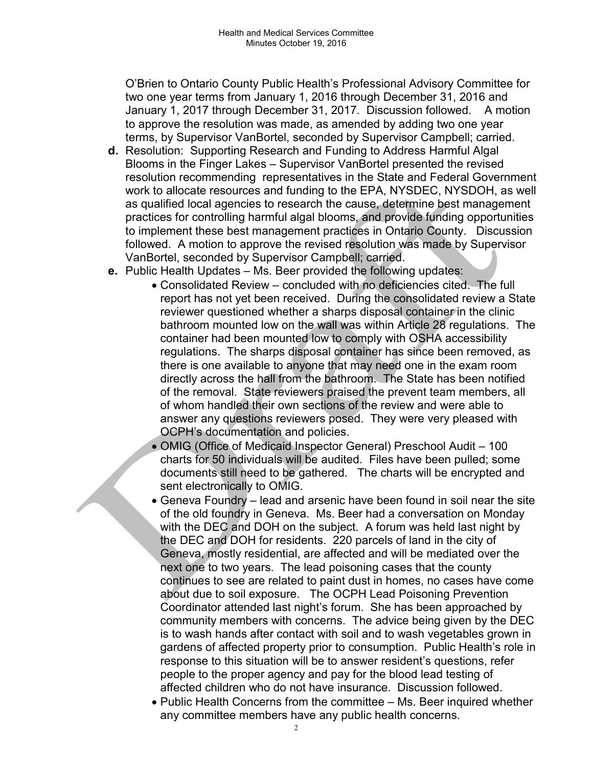O'Brien to Ontario County Public Health's Professional Advisory Committee for two one year terms from January 1, 2016 through December 31, 2016 and January 1, 2017 through December 31, 2017. Discussion followed. A motion to approve the resolution was made, as amended by adding two one year terms, by Supervisor VanBortel, seconded by Supervisor Campbell; carried.

- d. Resolution: Supporting Research and Funding to Address Harmful Algal Blooms in the Finger Lakes – Supervisor VanBortel presented the revised resolution recommending representatives in the State and Federal Government work to allocate resources and funding to the EPA, NYSDEC, NYSDOH, as well as qualified local agencies to research the cause, determine best management practices for controlling harmful algal blooms, and provide funding opportunities to implement these best management practices in Ontario County. Discussion followed. A motion to approve the revised resolution was made by Supervisor VanBortel, seconded by Supervisor Campbell; carried.
- e. Public Health Updates Ms. Beer provided the following updates:
	- Consolidated Review concluded with no deficiencies cited. The full report has not yet been received. During the consolidated review a State reviewer questioned whether a sharps disposal container in the clinic bathroom mounted low on the wall was within Article 28 regulations. The container had been mounted low to comply with OSHA accessibility regulations. The sharps disposal container has since been removed, as there is one available to anyone that may need one in the exam room directly across the hall from the bathroom. The State has been notified of the removal. State reviewers praised the prevent team members, all of whom handled their own sections of the review and were able to answer any questions reviewers posed. They were very pleased with OCPH's documentation and policies.
	- OMIG (Office of Medicaid Inspector General) Preschool Audit 100 charts for 50 individuals will be audited. Files have been pulled; some documents still need to be gathered. The charts will be encrypted and sent electronically to OMIG.
	- Geneva Foundry lead and arsenic have been found in soil near the site of the old foundry in Geneva. Ms. Beer had a conversation on Monday with the DEC and DOH on the subject. A forum was held last night by the DEC and DOH for residents. 220 parcels of land in the city of Geneva, mostly residential, are affected and will be mediated over the next one to two years. The lead poisoning cases that the county continues to see are related to paint dust in homes, no cases have come about due to soil exposure. The OCPH Lead Poisoning Prevention Coordinator attended last night's forum. She has been approached by community members with concerns. The advice being given by the DEC is to wash hands after contact with soil and to wash vegetables grown in gardens of affected property prior to consumption. Public Health's role in response to this situation will be to answer resident's questions, refer people to the proper agency and pay for the blood lead testing of affected children who do not have insurance. Discussion followed.
	- Public Health Concerns from the committee Ms. Beer inquired whether any committee members have any public health concerns.